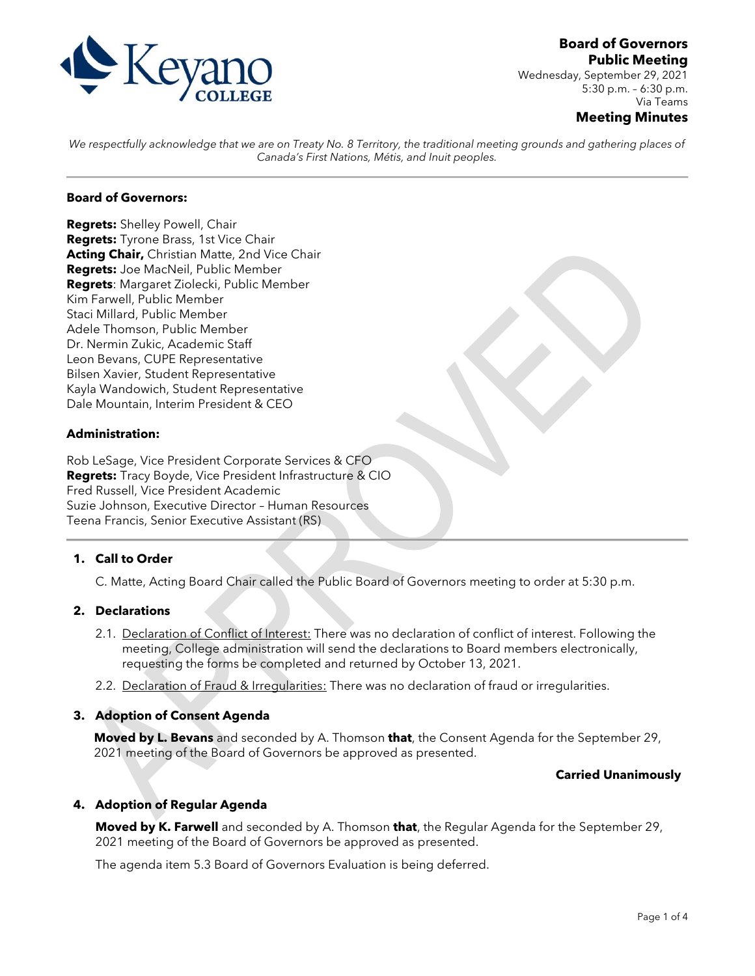

Wednesday, September 29, 2021 5:30 p.m. – 6:30 p.m. Via Teams

#### **Meeting Minutes**

*We respectfully acknowledge that we are on Treaty No. 8 Territory, the traditional meeting grounds and gathering places of Canada's First Nations, Métis, and Inuit peoples.*

# **Board of Governors:**

**Regrets:** Shelley Powell, Chair **Regrets:** Tyrone Brass, 1st Vice Chair **Acting Chair,** Christian Matte, 2nd Vice Chair **Regrets:** Joe MacNeil, Public Member **Regrets**: Margaret Ziolecki, Public Member Kim Farwell, Public Member Staci Millard, Public Member Adele Thomson, Public Member Dr. Nermin Zukic, Academic Staff Leon Bevans, CUPE Representative Bilsen Xavier, Student Representative Kayla Wandowich, Student Representative Dale Mountain, Interim President & CEO

## **Administration:**

Rob LeSage, Vice President Corporate Services & CFO **Regrets:** Tracy Boyde, Vice President Infrastructure & CIO Fred Russell, Vice President Academic Suzie Johnson, Executive Director – Human Resources Teena Francis, Senior Executive Assistant (RS)

## **1. Call to Order**

C. Matte, Acting Board Chair called the Public Board of Governors meeting to order at 5:30 p.m.

#### **2. Declarations**

- 2.1. Declaration of Conflict of Interest: There was no declaration of conflict of interest. Following the meeting, College administration will send the declarations to Board members electronically, requesting the forms be completed and returned by October 13, 2021.
- 2.2. Declaration of Fraud & Irregularities: There was no declaration of fraud or irregularities.

#### **3. Adoption of Consent Agenda**

**Moved by L. Bevans** and seconded by A. Thomson **that**, the Consent Agenda for the September 29, 2021 meeting of the Board of Governors be approved as presented.

#### **Carried Unanimously**

#### **4. Adoption of Regular Agenda**

**Moved by K. Farwell** and seconded by A. Thomson **that**, the Regular Agenda for the September 29, 2021 meeting of the Board of Governors be approved as presented.

The agenda item 5.3 Board of Governors Evaluation is being deferred.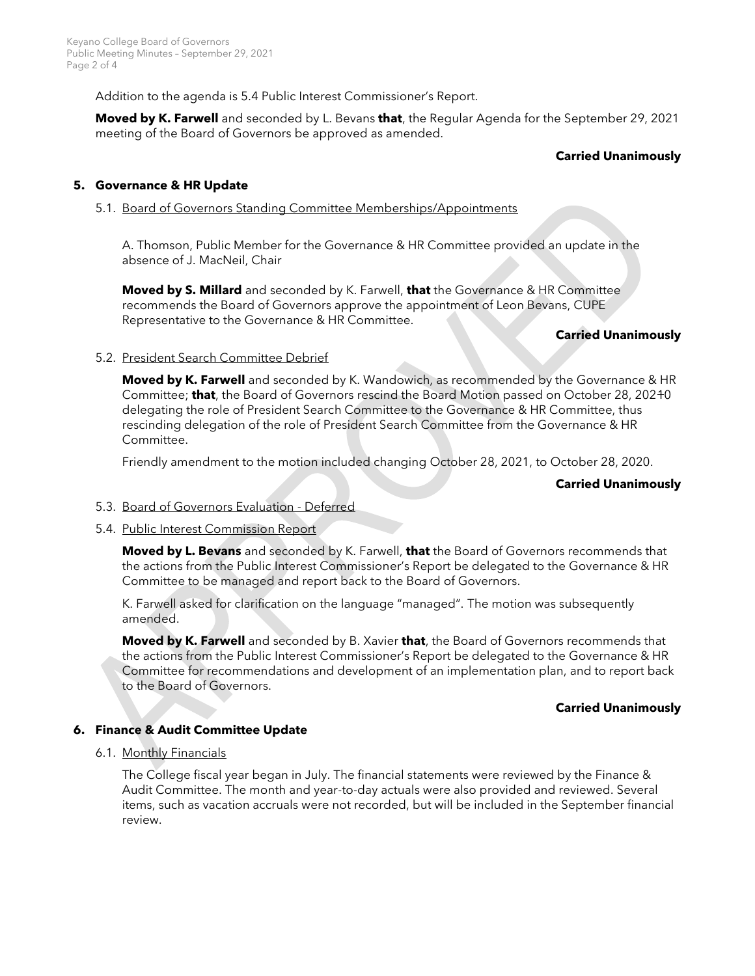Addition to the agenda is 5.4 Public Interest Commissioner's Report.

**Moved by K. Farwell** and seconded by L. Bevans **that**, the Regular Agenda for the September 29, 2021 meeting of the Board of Governors be approved as amended.

## **Carried Unanimously**

### **5. Governance & HR Update**

#### 5.1. Board of Governors Standing Committee Memberships/Appointments

A. Thomson, Public Member for the Governance & HR Committee provided an update in the absence of J. MacNeil, Chair

**Moved by S. Millard** and seconded by K. Farwell, **that** the Governance & HR Committee recommends the Board of Governors approve the appointment of Leon Bevans, CUPE Representative to the Governance & HR Committee.

#### **Carried Unanimously**

## 5.2. President Search Committee Debrief

**Moved by K. Farwell** and seconded by K. Wandowich, as recommended by the Governance & HR Committee; **that**, the Board of Governors rescind the Board Motion passed on October 28, 20210 delegating the role of President Search Committee to the Governance & HR Committee, thus rescinding delegation of the role of President Search Committee from the Governance & HR Committee.

Friendly amendment to the motion included changing October 28, 2021, to October 28, 2020.

### **Carried Unanimously**

## 5.3. Board of Governors Evaluation - Deferred

## 5.4. Public Interest Commission Report

**Moved by L. Bevans** and seconded by K. Farwell, **that** the Board of Governors recommends that the actions from the Public Interest Commissioner's Report be delegated to the Governance & HR Committee to be managed and report back to the Board of Governors.

K. Farwell asked for clarification on the language "managed". The motion was subsequently amended.

**Moved by K. Farwell** and seconded by B. Xavier **that**, the Board of Governors recommends that the actions from the Public Interest Commissioner's Report be delegated to the Governance & HR Committee for recommendations and development of an implementation plan, and to report back to the Board of Governors.

## **Carried Unanimously**

## **6. Finance & Audit Committee Update**

## 6.1. Monthly Financials

The College fiscal year began in July. The financial statements were reviewed by the Finance & Audit Committee. The month and year-to-day actuals were also provided and reviewed. Several items, such as vacation accruals were not recorded, but will be included in the September financial review.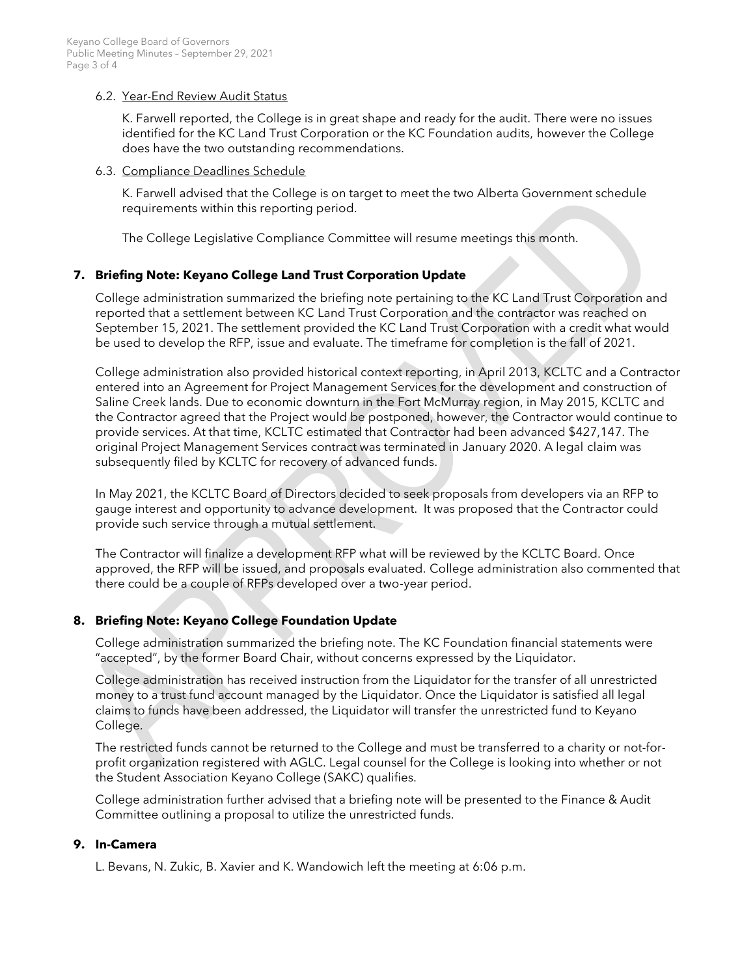### 6.2. Year-End Review Audit Status

K. Farwell reported, the College is in great shape and ready for the audit. There were no issues identified for the KC Land Trust Corporation or the KC Foundation audits, however the College does have the two outstanding recommendations.

#### 6.3. Compliance Deadlines Schedule

K. Farwell advised that the College is on target to meet the two Alberta Government schedule requirements within this reporting period.

The College Legislative Compliance Committee will resume meetings this month.

# **7. Briefing Note: Keyano College Land Trust Corporation Update**

College administration summarized the briefing note pertaining to the KC Land Trust Corporation and reported that a settlement between KC Land Trust Corporation and the contractor was reached on September 15, 2021. The settlement provided the KC Land Trust Corporation with a credit what would be used to develop the RFP, issue and evaluate. The timeframe for completion is the fall of 2021.

College administration also provided historical context reporting, in April 2013, KCLTC and a Contractor entered into an Agreement for Project Management Services for the development and construction of Saline Creek lands. Due to economic downturn in the Fort McMurray region, in May 2015, KCLTC and the Contractor agreed that the Project would be postponed, however, the Contractor would continue to provide services. At that time, KCLTC estimated that Contractor had been advanced \$427,147. The original Project Management Services contract was terminated in January 2020. A legal claim was subsequently filed by KCLTC for recovery of advanced funds.

In May 2021, the KCLTC Board of Directors decided to seek proposals from developers via an RFP to gauge interest and opportunity to advance development. It was proposed that the Contractor could provide such service through a mutual settlement.

The Contractor will finalize a development RFP what will be reviewed by the KCLTC Board. Once approved, the RFP will be issued, and proposals evaluated. College administration also commented that there could be a couple of RFPs developed over a two-year period.

## **8. Briefing Note: Keyano College Foundation Update**

College administration summarized the briefing note. The KC Foundation financial statements were "accepted", by the former Board Chair, without concerns expressed by the Liquidator.

College administration has received instruction from the Liquidator for the transfer of all unrestricted money to a trust fund account managed by the Liquidator. Once the Liquidator is satisfied all legal claims to funds have been addressed, the Liquidator will transfer the unrestricted fund to Keyano College.

The restricted funds cannot be returned to the College and must be transferred to a charity or not-forprofit organization registered with AGLC. Legal counsel for the College is looking into whether or not the Student Association Keyano College (SAKC) qualifies.

College administration further advised that a briefing note will be presented to the Finance & Audit Committee outlining a proposal to utilize the unrestricted funds.

## **9. In-Camera**

L. Bevans, N. Zukic, B. Xavier and K. Wandowich left the meeting at 6:06 p.m.